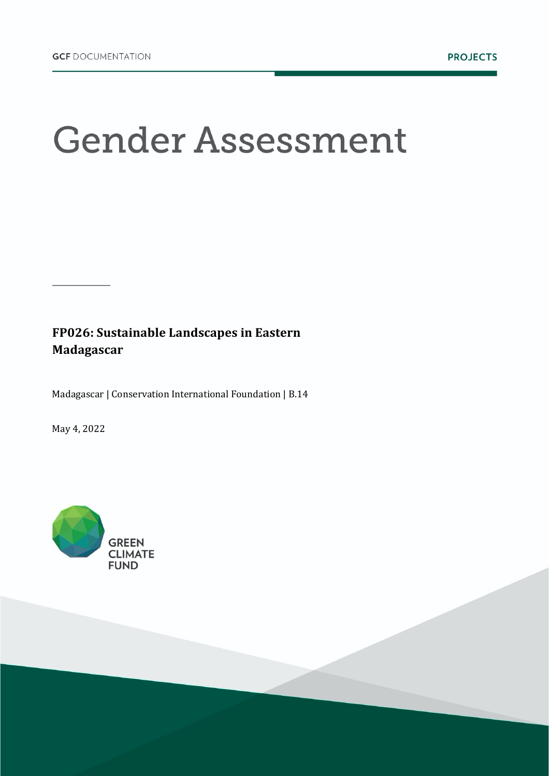# **Gender Assessment**

### FP026: Sustainable Landscapes in Eastern **Madagascar**

Madagascar | Conservation International Foundation | B.14

May 4, 2022

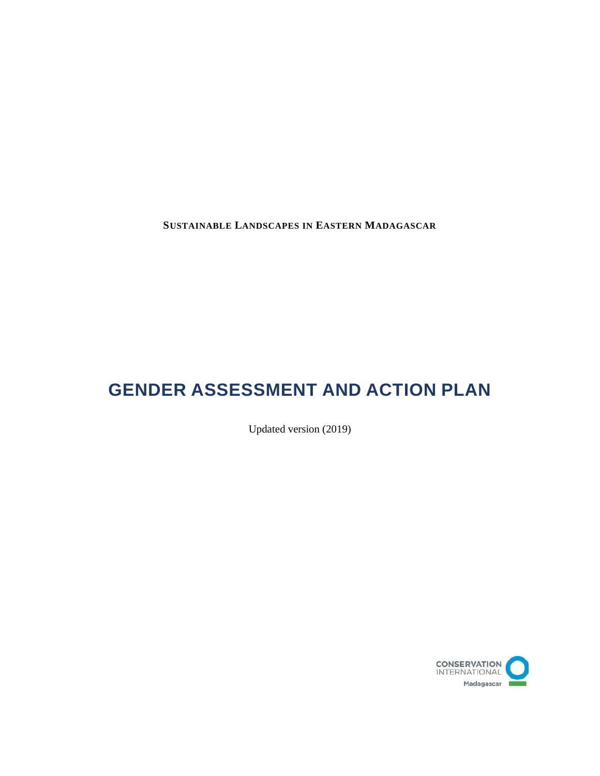**SUSTAINABLE LANDSCAPES IN EASTERN MADAGASCAR**

# **GENDER ASSESSMENT AND ACTION PLAN**

Updated version (2019)

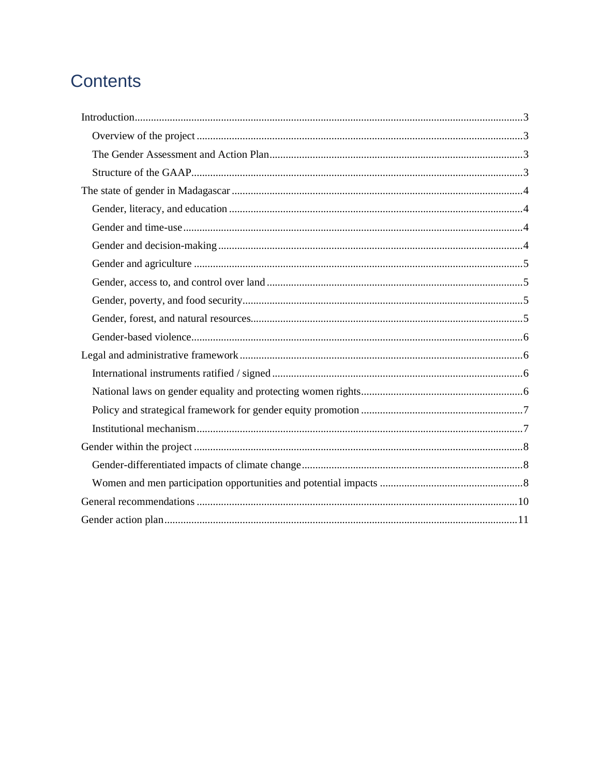# **Contents**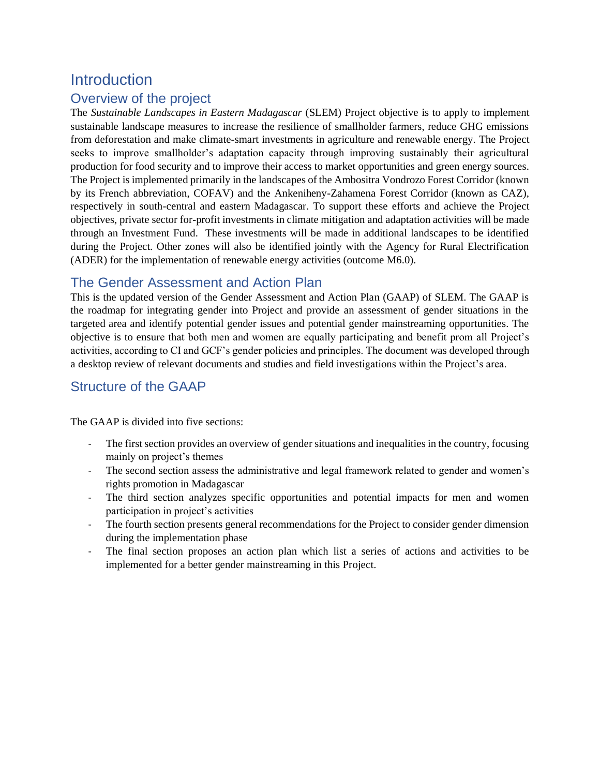## **Introduction**

#### Overview of the project

The *Sustainable Landscapes in Eastern Madagascar* (SLEM) Project objective is to apply to implement sustainable landscape measures to increase the resilience of smallholder farmers, reduce GHG emissions from deforestation and make climate-smart investments in agriculture and renewable energy. The Project seeks to improve smallholder's adaptation capacity through improving sustainably their agricultural production for food security and to improve their access to market opportunities and green energy sources. The Project is implemented primarily in the landscapes of the Ambositra Vondrozo Forest Corridor (known by its French abbreviation, COFAV) and the Ankeniheny-Zahamena Forest Corridor (known as CAZ), respectively in south-central and eastern Madagascar. To support these efforts and achieve the Project objectives, private sector for-profit investments in climate mitigation and adaptation activities will be made through an Investment Fund. These investments will be made in additional landscapes to be identified during the Project. Other zones will also be identified jointly with the Agency for Rural Electrification (ADER) for the implementation of renewable energy activities (outcome M6.0).

#### The Gender Assessment and Action Plan

This is the updated version of the Gender Assessment and Action Plan (GAAP) of SLEM. The GAAP is the roadmap for integrating gender into Project and provide an assessment of gender situations in the targeted area and identify potential gender issues and potential gender mainstreaming opportunities. The objective is to ensure that both men and women are equally participating and benefit prom all Project's activities, according to CI and GCF's gender policies and principles. The document was developed through a desktop review of relevant documents and studies and field investigations within the Project's area.

#### Structure of the GAAP

The GAAP is divided into five sections:

- The first section provides an overview of gender situations and inequalities in the country, focusing mainly on project's themes
- The second section assess the administrative and legal framework related to gender and women's rights promotion in Madagascar
- The third section analyzes specific opportunities and potential impacts for men and women participation in project's activities
- The fourth section presents general recommendations for the Project to consider gender dimension during the implementation phase
- The final section proposes an action plan which list a series of actions and activities to be implemented for a better gender mainstreaming in this Project.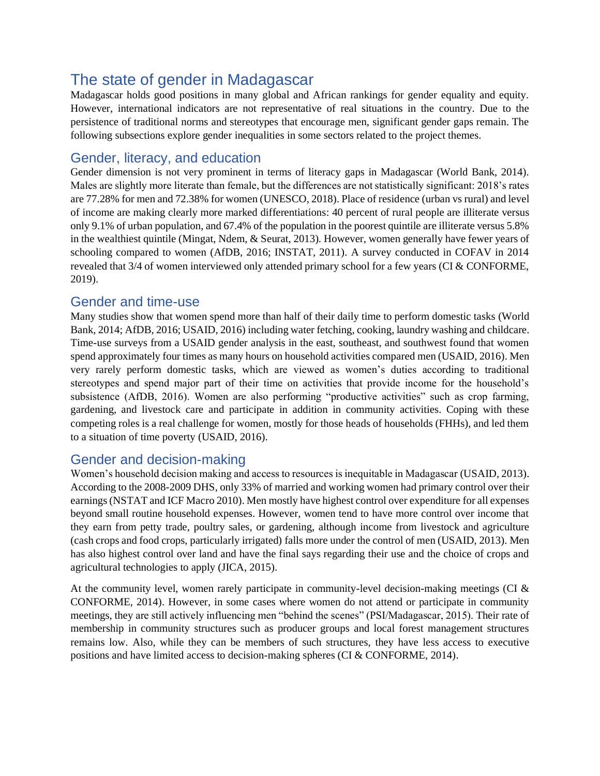# The state of gender in Madagascar

Madagascar holds good positions in many global and African rankings for gender equality and equity. However, international indicators are not representative of real situations in the country. Due to the persistence of traditional norms and stereotypes that encourage men, significant gender gaps remain. The following subsections explore gender inequalities in some sectors related to the project themes.

#### Gender, literacy, and education

Gender dimension is not very prominent in terms of literacy gaps in Madagascar (World Bank, 2014). Males are slightly more literate than female, but the differences are not statistically significant: 2018's rates are 77.28% for men and 72.38% for women (UNESCO, 2018). Place of residence (urban vs rural) and level of income are making clearly more marked differentiations: 40 percent of rural people are illiterate versus only 9.1% of urban population, and 67.4% of the population in the poorest quintile are illiterate versus 5.8% in the wealthiest quintile (Mingat, Ndem, & Seurat, 2013). However, women generally have fewer years of schooling compared to women (AfDB, 2016; INSTAT, 2011). A survey conducted in COFAV in 2014 revealed that 3/4 of women interviewed only attended primary school for a few years (CI & CONFORME, 2019).

#### Gender and time-use

Many studies show that women spend more than half of their daily time to perform domestic tasks (World Bank, 2014; AfDB, 2016; USAID, 2016) including water fetching, cooking, laundry washing and childcare. Time-use surveys from a USAID gender analysis in the east, southeast, and southwest found that women spend approximately four times as many hours on household activities compared men (USAID, 2016). Men very rarely perform domestic tasks, which are viewed as women's duties according to traditional stereotypes and spend major part of their time on activities that provide income for the household's subsistence (AfDB, 2016). Women are also performing "productive activities" such as crop farming, gardening, and livestock care and participate in addition in community activities. Coping with these competing roles is a real challenge for women, mostly for those heads of households (FHHs), and led them to a situation of time poverty (USAID, 2016).

#### Gender and decision-making

Women's household decision making and access to resources is inequitable in Madagascar (USAID, 2013). According to the 2008-2009 DHS, only 33% of married and working women had primary control over their earnings(NSTAT and ICF Macro 2010). Men mostly have highest control over expenditure for all expenses beyond small routine household expenses. However, women tend to have more control over income that they earn from petty trade, poultry sales, or gardening, although income from livestock and agriculture (cash crops and food crops, particularly irrigated) falls more under the control of men (USAID, 2013). Men has also highest control over land and have the final says regarding their use and the choice of crops and agricultural technologies to apply (JICA, 2015).

At the community level, women rarely participate in community-level decision-making meetings (CI & CONFORME, 2014). However, in some cases where women do not attend or participate in community meetings, they are still actively influencing men "behind the scenes" (PSI/Madagascar, 2015). Their rate of membership in community structures such as producer groups and local forest management structures remains low. Also, while they can be members of such structures, they have less access to executive positions and have limited access to decision-making spheres (CI & CONFORME, 2014).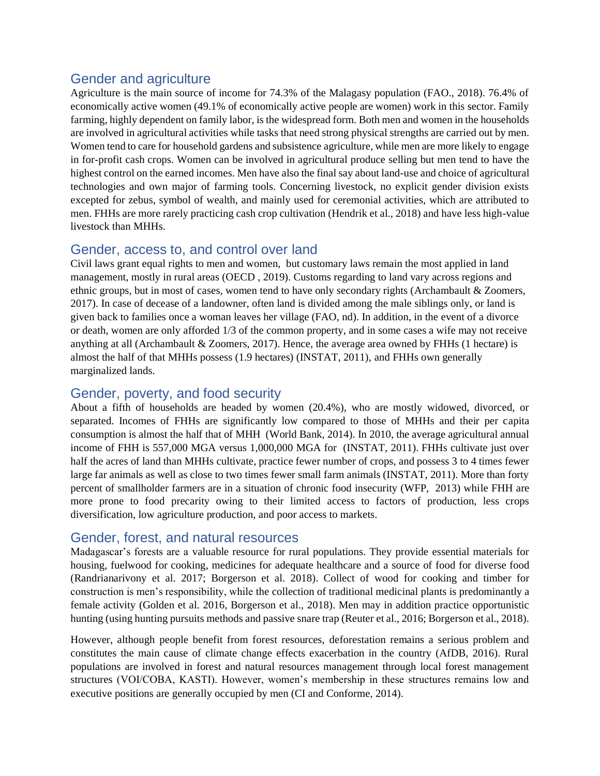#### Gender and agriculture

Agriculture is the main source of income for 74.3% of the Malagasy population (FAO., 2018). 76.4% of economically active women (49.1% of economically active people are women) work in this sector. Family farming, highly dependent on family labor, is the widespread form. Both men and women in the households are involved in agricultural activities while tasks that need strong physical strengths are carried out by men. Women tend to care for household gardens and subsistence agriculture, while men are more likely to engage in for-profit cash crops. Women can be involved in agricultural produce selling but men tend to have the highest control on the earned incomes. Men have also the final say about land-use and choice of agricultural technologies and own major of farming tools. Concerning livestock, no explicit gender division exists excepted for zebus, symbol of wealth, and mainly used for ceremonial activities, which are attributed to men. FHHs are more rarely practicing cash crop cultivation (Hendrik et al., 2018) and have less high-value livestock than MHHs.

#### Gender, access to, and control over land

Civil laws grant equal rights to men and women, but customary laws remain the most applied in land management, mostly in rural areas (OECD , 2019). Customs regarding to land vary across regions and ethnic groups, but in most of cases, women tend to have only secondary rights (Archambault & Zoomers, 2017). In case of decease of a landowner, often land is divided among the male siblings only, or land is given back to families once a woman leaves her village (FAO, nd). In addition, in the event of a divorce or death, women are only afforded 1/3 of the common property, and in some cases a wife may not receive anything at all (Archambault & Zoomers, 2017). Hence, the average area owned by FHHs (1 hectare) is almost the half of that MHHs possess (1.9 hectares) (INSTAT, 2011), and FHHs own generally marginalized lands.

#### Gender, poverty, and food security

About a fifth of households are headed by women (20.4%), who are mostly widowed, divorced, or separated. Incomes of FHHs are significantly low compared to those of MHHs and their per capita consumption is almost the half that of MHH (World Bank, 2014). In 2010, the average agricultural annual income of FHH is 557,000 MGA versus 1,000,000 MGA for (INSTAT, 2011). FHHs cultivate just over half the acres of land than MHHs cultivate, practice fewer number of crops, and possess 3 to 4 times fewer large far animals as well as close to two times fewer small farm animals (INSTAT, 2011). More than forty percent of smallholder farmers are in a situation of chronic food insecurity (WFP, 2013) while FHH are more prone to food precarity owing to their limited access to factors of production, less crops diversification, low agriculture production, and poor access to markets.

#### Gender, forest, and natural resources

Madagascar's forests are a valuable resource for rural populations. They provide essential materials for housing, fuelwood for cooking, medicines for adequate healthcare and a source of food for diverse food (Randrianarivony et al. 2017; Borgerson et al. 2018). Collect of wood for cooking and timber for construction is men's responsibility, while the collection of traditional medicinal plants is predominantly a female activity (Golden et al. 2016, Borgerson et al., 2018). Men may in addition practice opportunistic hunting (using hunting pursuits methods and passive snare trap (Reuter et al., 2016; Borgerson et al., 2018).

However, although people benefit from forest resources, deforestation remains a serious problem and constitutes the main cause of climate change effects exacerbation in the country (AfDB, 2016). Rural populations are involved in forest and natural resources management through local forest management structures (VOI/COBA, KASTI). However, women's membership in these structures remains low and executive positions are generally occupied by men (CI and Conforme, 2014).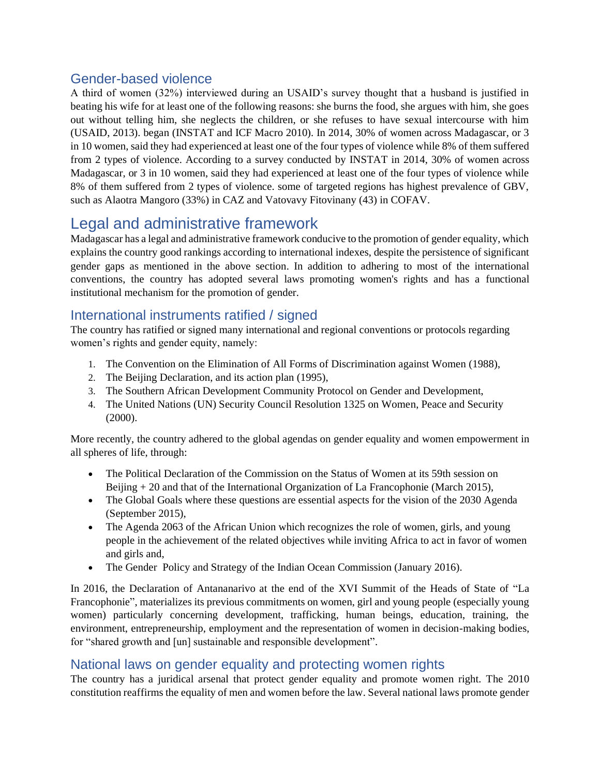#### Gender-based violence

A third of women (32%) interviewed during an USAID's survey thought that a husband is justified in beating his wife for at least one of the following reasons: she burns the food, she argues with him, she goes out without telling him, she neglects the children, or she refuses to have sexual intercourse with him (USAID, 2013). began (INSTAT and ICF Macro 2010). In 2014, 30% of women across Madagascar, or 3 in 10 women, said they had experienced at least one of the four types of violence while 8% of them suffered from 2 types of violence. According to a survey conducted by INSTAT in 2014, 30% of women across Madagascar, or 3 in 10 women, said they had experienced at least one of the four types of violence while 8% of them suffered from 2 types of violence. some of targeted regions has highest prevalence of GBV, such as Alaotra Mangoro (33%) in CAZ and Vatovavy Fitovinany (43) in COFAV.

# Legal and administrative framework

Madagascar has a legal and administrative framework conducive to the promotion of gender equality, which explains the country good rankings according to international indexes, despite the persistence of significant gender gaps as mentioned in the above section. In addition to adhering to most of the international conventions, the country has adopted several laws promoting women's rights and has a functional institutional mechanism for the promotion of gender.

#### International instruments ratified / signed

The country has ratified or signed many international and regional conventions or protocols regarding women's rights and gender equity, namely:

- 1. The Convention on the Elimination of All Forms of Discrimination against Women (1988),
- 2. The Beijing Declaration, and its action plan (1995),
- 3. The Southern African Development Community Protocol on Gender and Development,
- 4. The United Nations (UN) Security Council Resolution 1325 on Women, Peace and Security (2000).

More recently, the country adhered to the global agendas on gender equality and women empowerment in all spheres of life, through:

- The Political Declaration of the Commission on the Status of Women at its 59th session on Beijing + 20 and that of the International Organization of La Francophonie (March 2015),
- The Global Goals where these questions are essential aspects for the vision of the 2030 Agenda (September 2015),
- The Agenda 2063 of the African Union which recognizes the role of women, girls, and young people in the achievement of the related objectives while inviting Africa to act in favor of women and girls and,
- The Gender Policy and Strategy of the Indian Ocean Commission (January 2016).

In 2016, the Declaration of Antananarivo at the end of the XVI Summit of the Heads of State of "La Francophonie", materializes its previous commitments on women, girl and young people (especially young women) particularly concerning development, trafficking, human beings, education, training, the environment, entrepreneurship, employment and the representation of women in decision-making bodies, for "shared growth and [un] sustainable and responsible development".

#### National laws on gender equality and protecting women rights

The country has a juridical arsenal that protect gender equality and promote women right. The 2010 constitution reaffirms the equality of men and women before the law. Several national laws promote gender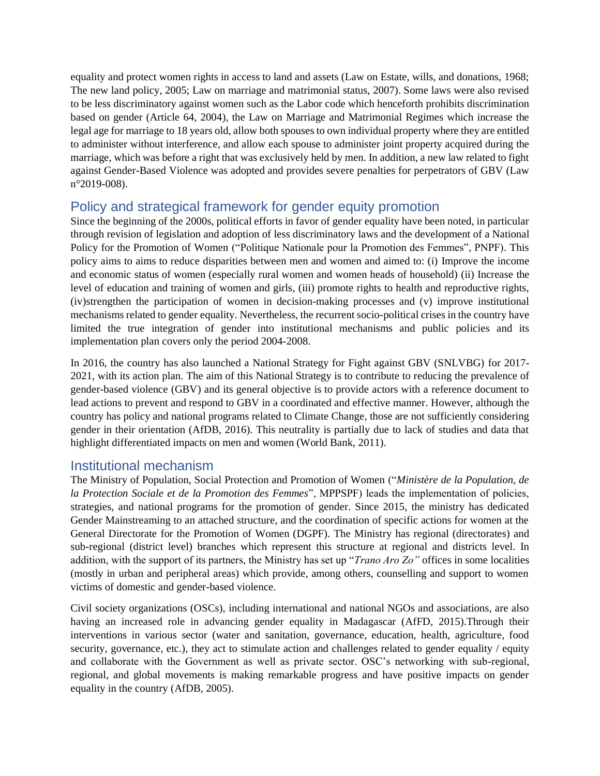equality and protect women rights in access to land and assets (Law on Estate, wills, and donations, 1968; The new land policy, 2005; Law on marriage and matrimonial status, 2007). Some laws were also revised to be less discriminatory against women such as the Labor code which henceforth prohibits discrimination based on gender (Article 64, 2004), the Law on Marriage and Matrimonial Regimes which increase the legal age for marriage to 18 years old, allow both spouses to own individual property where they are entitled to administer without interference, and allow each spouse to administer joint property acquired during the marriage, which was before a right that was exclusively held by men. In addition, a new law related to fight against Gender-Based Violence was adopted and provides severe penalties for perpetrators of GBV (Law n°2019-008).

#### Policy and strategical framework for gender equity promotion

Since the beginning of the 2000s, political efforts in favor of gender equality have been noted, in particular through revision of legislation and adoption of less discriminatory laws and the development of a National Policy for the Promotion of Women ("Politique Nationale pour la Promotion des Femmes", PNPF). This policy aims to aims to reduce disparities between men and women and aimed to: (i) Improve the income and economic status of women (especially rural women and women heads of household) (ii) Increase the level of education and training of women and girls, (iii) promote rights to health and reproductive rights, (iv)strengthen the participation of women in decision-making processes and (v) improve institutional mechanisms related to gender equality. Nevertheless, the recurrent socio-political crises in the country have limited the true integration of gender into institutional mechanisms and public policies and its implementation plan covers only the period 2004-2008.

In 2016, the country has also launched a National Strategy for Fight against GBV (SNLVBG) for 2017- 2021, with its action plan. The aim of this National Strategy is to contribute to reducing the prevalence of gender-based violence (GBV) and its general objective is to provide actors with a reference document to lead actions to prevent and respond to GBV in a coordinated and effective manner. However, although the country has policy and national programs related to Climate Change, those are not sufficiently considering gender in their orientation (AfDB, 2016). This neutrality is partially due to lack of studies and data that highlight differentiated impacts on men and women (World Bank, 2011).

#### Institutional mechanism

The Ministry of Population, Social Protection and Promotion of Women ("*Ministère de la Population, de la Protection Sociale et de la Promotion des Femmes*", MPPSPF) leads the implementation of policies, strategies, and national programs for the promotion of gender. Since 2015, the ministry has dedicated Gender Mainstreaming to an attached structure, and the coordination of specific actions for women at the General Directorate for the Promotion of Women (DGPF). The Ministry has regional (directorates) and sub-regional (district level) branches which represent this structure at regional and districts level. In addition, with the support of its partners, the Ministry has set up "*Trano Aro Zo"* offices in some localities (mostly in urban and peripheral areas) which provide, among others, counselling and support to women victims of domestic and gender-based violence.

Civil society organizations (OSCs), including international and national NGOs and associations, are also having an increased role in advancing gender equality in Madagascar (AfFD, 2015).Through their interventions in various sector (water and sanitation, governance, education, health, agriculture, food security, governance, etc.), they act to stimulate action and challenges related to gender equality / equity and collaborate with the Government as well as private sector. OSC's networking with sub-regional, regional, and global movements is making remarkable progress and have positive impacts on gender equality in the country (AfDB, 2005).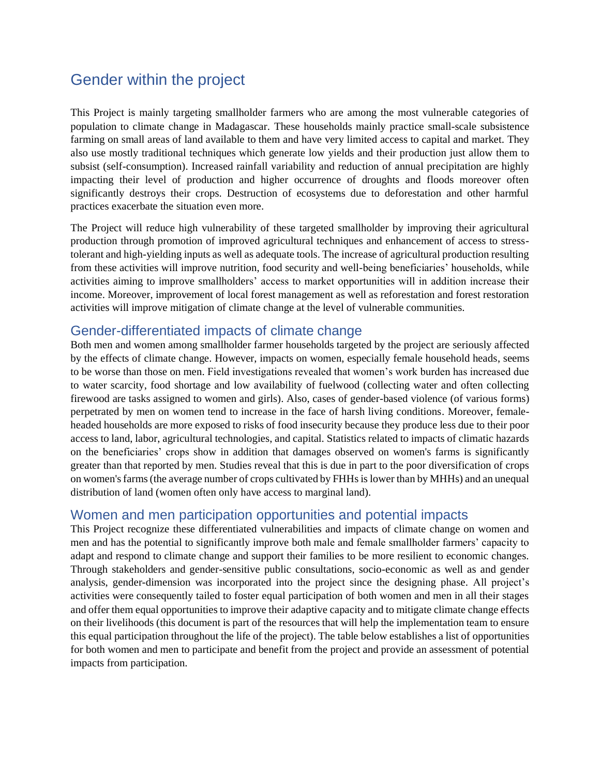# Gender within the project

This Project is mainly targeting smallholder farmers who are among the most vulnerable categories of population to climate change in Madagascar. These households mainly practice small-scale subsistence farming on small areas of land available to them and have very limited access to capital and market. They also use mostly traditional techniques which generate low yields and their production just allow them to subsist (self-consumption). Increased rainfall variability and reduction of annual precipitation are highly impacting their level of production and higher occurrence of droughts and floods moreover often significantly destroys their crops. Destruction of ecosystems due to deforestation and other harmful practices exacerbate the situation even more.

The Project will reduce high vulnerability of these targeted smallholder by improving their agricultural production through promotion of improved agricultural techniques and enhancement of access to stresstolerant and high-yielding inputs as well as adequate tools. The increase of agricultural production resulting from these activities will improve nutrition, food security and well-being beneficiaries' households, while activities aiming to improve smallholders' access to market opportunities will in addition increase their income. Moreover, improvement of local forest management as well as reforestation and forest restoration activities will improve mitigation of climate change at the level of vulnerable communities.

#### Gender-differentiated impacts of climate change

Both men and women among smallholder farmer households targeted by the project are seriously affected by the effects of climate change. However, impacts on women, especially female household heads, seems to be worse than those on men. Field investigations revealed that women's work burden has increased due to water scarcity, food shortage and low availability of fuelwood (collecting water and often collecting firewood are tasks assigned to women and girls). Also, cases of gender-based violence (of various forms) perpetrated by men on women tend to increase in the face of harsh living conditions. Moreover, femaleheaded households are more exposed to risks of food insecurity because they produce less due to their poor access to land, labor, agricultural technologies, and capital. Statistics related to impacts of climatic hazards on the beneficiaries' crops show in addition that damages observed on women's farms is significantly greater than that reported by men. Studies reveal that this is due in part to the poor diversification of crops on women's farms (the average number of crops cultivated by FHHs is lower than by MHHs) and an unequal distribution of land (women often only have access to marginal land).

#### Women and men participation opportunities and potential impacts

This Project recognize these differentiated vulnerabilities and impacts of climate change on women and men and has the potential to significantly improve both male and female smallholder farmers' capacity to adapt and respond to climate change and support their families to be more resilient to economic changes. Through stakeholders and gender-sensitive public consultations, socio-economic as well as and gender analysis, gender-dimension was incorporated into the project since the designing phase. All project's activities were consequently tailed to foster equal participation of both women and men in all their stages and offer them equal opportunities to improve their adaptive capacity and to mitigate climate change effects on their livelihoods (this document is part of the resources that will help the implementation team to ensure this equal participation throughout the life of the project). The table below establishes a list of opportunities for both women and men to participate and benefit from the project and provide an assessment of potential impacts from participation.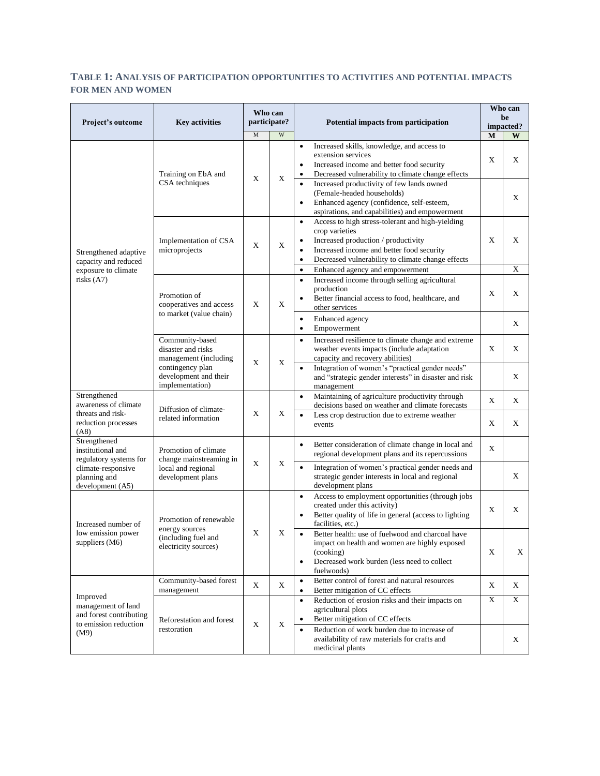#### **TABLE 1: ANALYSIS OF PARTICIPATION OPPORTUNITIES TO ACTIVITIES AND POTENTIAL IMPACTS FOR MEN AND WOMEN**

| Project's outcome                                                                          | <b>Key activities</b>                                                                                                          | Who can<br>participate? |                           |                                                                                                                                                                                                                                                                                                    |   | Potential impacts from participation |  | Who can<br>be<br>impacted? |  |
|--------------------------------------------------------------------------------------------|--------------------------------------------------------------------------------------------------------------------------------|-------------------------|---------------------------|----------------------------------------------------------------------------------------------------------------------------------------------------------------------------------------------------------------------------------------------------------------------------------------------------|---|--------------------------------------|--|----------------------------|--|
|                                                                                            |                                                                                                                                | M                       | W                         |                                                                                                                                                                                                                                                                                                    | M | W                                    |  |                            |  |
| Strengthened adaptive<br>capacity and reduced<br>exposure to climate<br>risks $(A7)$       | Training on EbA and<br>CSA techniques                                                                                          | $\mathbf X$             | $\mathbf X$               | Increased skills, knowledge, and access to<br>$\bullet$<br>extension services<br>Increased income and better food security<br>$\bullet$<br>Decreased vulnerability to climate change effects<br>$\bullet$<br>Increased productivity of few lands owned                                             | X | X                                    |  |                            |  |
|                                                                                            |                                                                                                                                |                         |                           | (Female-headed households)<br>Enhanced agency (confidence, self-esteem,<br>aspirations, and capabilities) and empowerment                                                                                                                                                                          |   | X                                    |  |                            |  |
|                                                                                            | Implementation of CSA<br>microprojects                                                                                         | X                       | $\boldsymbol{\mathrm{X}}$ | Access to high stress-tolerant and high-yielding<br>$\bullet$<br>crop varieties<br>Increased production / productivity<br>$\bullet$<br>Increased income and better food security<br>Decreased vulnerability to climate change effects<br>$\bullet$<br>Enhanced agency and empowerment<br>$\bullet$ | X | X<br>X                               |  |                            |  |
|                                                                                            | Promotion of<br>cooperatives and access<br>to market (value chain)                                                             | X                       | $\boldsymbol{\mathrm{X}}$ | Increased income through selling agricultural<br>$\bullet$<br>production<br>Better financial access to food, healthcare, and<br>$\bullet$<br>other services                                                                                                                                        | X | X                                    |  |                            |  |
|                                                                                            |                                                                                                                                |                         |                           | Enhanced agency<br>$\bullet$<br>Empowerment<br>$\bullet$                                                                                                                                                                                                                                           |   | X                                    |  |                            |  |
|                                                                                            | Community-based<br>disaster and risks<br>management (including<br>contingency plan<br>development and their<br>implementation) | $\mathbf X$             | $\boldsymbol{\mathrm{X}}$ | Increased resilience to climate change and extreme<br>$\bullet$<br>weather events impacts (include adaptation<br>capacity and recovery abilities)                                                                                                                                                  | X | X                                    |  |                            |  |
|                                                                                            |                                                                                                                                |                         |                           | Integration of women's "practical gender needs"<br>and "strategic gender interests" in disaster and risk<br>management                                                                                                                                                                             |   | X                                    |  |                            |  |
| Strengthened<br>awareness of climate                                                       | Diffusion of climate-<br>related information                                                                                   |                         |                           | Maintaining of agriculture productivity through<br>$\bullet$<br>decisions based on weather and climate forecasts                                                                                                                                                                                   | X | X                                    |  |                            |  |
| threats and risk-<br>reduction processes<br>(AB)                                           |                                                                                                                                | X                       | $\mathbf X$               | Less crop destruction due to extreme weather<br>$\bullet$<br>events                                                                                                                                                                                                                                | X | X                                    |  |                            |  |
| Strengthened<br>institutional and<br>regulatory systems for                                | Promotion of climate<br>change mainstreaming in<br>local and regional<br>development plans                                     | $\mathbf X$             | $\mathbf X$               | Better consideration of climate change in local and<br>$\bullet$<br>regional development plans and its repercussions                                                                                                                                                                               | X |                                      |  |                            |  |
| climate-responsive<br>planning and<br>development (A5)                                     |                                                                                                                                |                         |                           | $\bullet$<br>Integration of women's practical gender needs and<br>strategic gender interests in local and regional<br>development plans                                                                                                                                                            |   | X                                    |  |                            |  |
| Increased number of<br>low emission power<br>suppliers (M6)                                | Promotion of renewable<br>energy sources<br>(including fuel and<br>electricity sources)                                        | X                       | X                         | Access to employment opportunities (through jobs<br>$\bullet$<br>created under this activity)<br>Better quality of life in general (access to lighting<br>facilities, etc.)                                                                                                                        | X | X                                    |  |                            |  |
|                                                                                            |                                                                                                                                |                         |                           | Better health: use of fuelwood and charcoal have<br>$\bullet$<br>impact on health and women are highly exposed<br>(cooking)<br>Decreased work burden (less need to collect<br>$\bullet$<br>fuelwoods)                                                                                              | X | X                                    |  |                            |  |
| Improved<br>management of land<br>and forest contributing<br>to emission reduction<br>(M9) | Community-based forest<br>management                                                                                           | X                       | $\mathbf X$               | Better control of forest and natural resources<br>$\bullet$<br>Better mitigation of CC effects                                                                                                                                                                                                     | X | X                                    |  |                            |  |
|                                                                                            | Reforestation and forest<br>restoration                                                                                        | X                       | $\mathbf X$               | Reduction of erosion risks and their impacts on<br>$\bullet$<br>agricultural plots<br>Better mitigation of CC effects                                                                                                                                                                              | X | $\mathbf X$                          |  |                            |  |
|                                                                                            |                                                                                                                                |                         |                           | Reduction of work burden due to increase of<br>$\bullet$<br>availability of raw materials for crafts and<br>medicinal plants                                                                                                                                                                       |   | X                                    |  |                            |  |